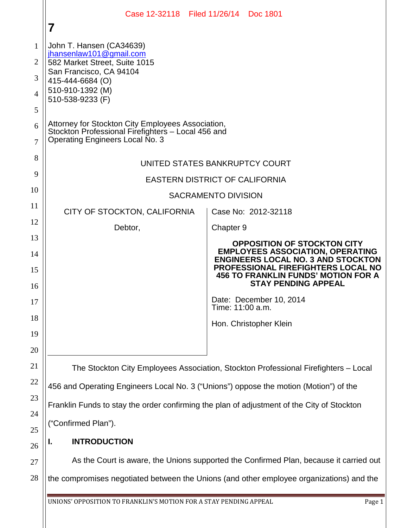|          | Case 12-32118 Filed 11/26/14 Doc 1801<br>7                                                                                                 |                                                                                                                       |
|----------|--------------------------------------------------------------------------------------------------------------------------------------------|-----------------------------------------------------------------------------------------------------------------------|
| 1        | John T. Hansen (CA34639)                                                                                                                   |                                                                                                                       |
| 2        | jhansenlaw101@gmail.com<br>582 Market Street, Suite 1015                                                                                   |                                                                                                                       |
| 3        | San Francisco, CA 94104<br>415-444-6684 (O)                                                                                                |                                                                                                                       |
| 4        | 510-910-1392 (M)                                                                                                                           |                                                                                                                       |
| 5        | 510-538-9233 (F)                                                                                                                           |                                                                                                                       |
| 6<br>7   | Attorney for Stockton City Employees Association,<br>Stockton Professional Firefighters - Local 456 and<br>Operating Engineers Local No. 3 |                                                                                                                       |
| 8        |                                                                                                                                            |                                                                                                                       |
| 9        | UNITED STATES BANKRUPTCY COURT                                                                                                             |                                                                                                                       |
| 10       | <b>EASTERN DISTRICT OF CALIFORNIA</b>                                                                                                      |                                                                                                                       |
| 11       | <b>SACRAMENTO DIVISION</b>                                                                                                                 |                                                                                                                       |
|          | CITY OF STOCKTON, CALIFORNIA                                                                                                               | Case No: 2012-32118                                                                                                   |
| 12       | Debtor,                                                                                                                                    | Chapter 9                                                                                                             |
| 13<br>14 |                                                                                                                                            | OPPOSITION OF STOCKTON CITY<br><b>EMPLOYEES ASSOCIATION, OPERATING</b><br><b>ENGINEERS LOCAL NO. 3 AND STOCKTON</b>   |
| 15<br>16 |                                                                                                                                            | <b>PROFESSIONAL FIREFIGHTERS LOCAL NO</b><br><b>456 TO FRANKLIN FUNDS' MOTION FOR A</b><br><b>STAY PENDING APPEAL</b> |
| 17       |                                                                                                                                            | Date: December 10, 2014<br>Time: 11:00 a.m.                                                                           |
| 18       |                                                                                                                                            | Hon. Christopher Klein                                                                                                |
| 19       |                                                                                                                                            |                                                                                                                       |
| 20       |                                                                                                                                            |                                                                                                                       |
| 21       | The Stockton City Employees Association, Stockton Professional Firefighters - Local                                                        |                                                                                                                       |
| 22       | 456 and Operating Engineers Local No. 3 ("Unions") oppose the motion (Motion") of the                                                      |                                                                                                                       |
| 23       | Franklin Funds to stay the order confirming the plan of adjustment of the City of Stockton                                                 |                                                                                                                       |
| 24       | ("Confirmed Plan").                                                                                                                        |                                                                                                                       |
| 25<br>26 | <b>INTRODUCTION</b><br>ı.                                                                                                                  |                                                                                                                       |
| 27       | As the Court is aware, the Unions supported the Confirmed Plan, because it carried out                                                     |                                                                                                                       |
| 28       | the compromises negotiated between the Unions (and other employee organizations) and the                                                   |                                                                                                                       |

UNIONS' OPPOSITION TO FRANKLIN'S MOTION FOR A STAY PENDING APPEAL Page 1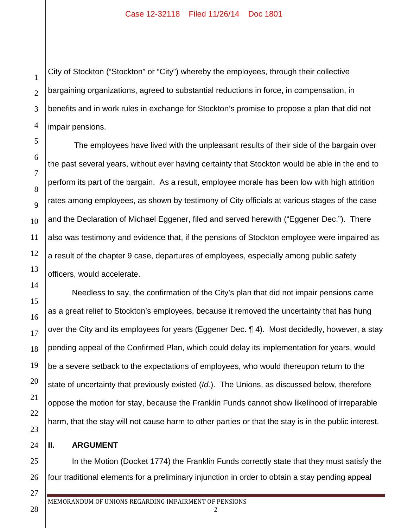City of Stockton ("Stockton" or "City") whereby the employees, through their collective bargaining organizations, agreed to substantial reductions in force, in compensation, in benefits and in work rules in exchange for Stockton's promise to propose a plan that did not impair pensions.

The employees have lived with the unpleasant results of their side of the bargain over the past several years, without ever having certainty that Stockton would be able in the end to perform its part of the bargain. As a result, employee morale has been low with high attrition rates among employees, as shown by testimony of City officials at various stages of the case and the Declaration of Michael Eggener, filed and served herewith ("Eggener Dec."). There also was testimony and evidence that, if the pensions of Stockton employee were impaired as a result of the chapter 9 case, departures of employees, especially among public safety officers, would accelerate.

Needless to say, the confirmation of the City's plan that did not impair pensions came as a great relief to Stockton's employees, because it removed the uncertainty that has hung over the City and its employees for years (Eggener Dec. ¶ 4). Most decidedly, however, a stay pending appeal of the Confirmed Plan, which could delay its implementation for years, would be a severe setback to the expectations of employees, who would thereupon return to the state of uncertainty that previously existed (*Id.*). The Unions, as discussed below, therefore oppose the motion for stay, because the Franklin Funds cannot show likelihood of irreparable harm, that the stay will not cause harm to other parties or that the stay is in the public interest.

## **II. ARGUMENT**

1

2

3

4

5

6

7

8

9

10

11

12

13

14

15

16

17

18

19

20

21

22

23

24

25

26

27

28

In the Motion (Docket 1774) the Franklin Funds correctly state that they must satisfy the four traditional elements for a preliminary injunction in order to obtain a stay pending appeal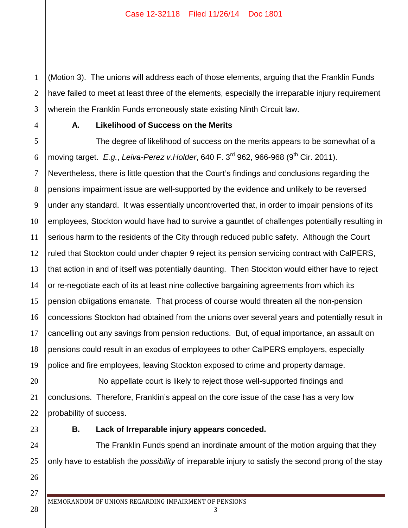1 2 3 (Motion 3). The unions will address each of those elements, arguing that the Franklin Funds have failed to meet at least three of the elements, especially the irreparable injury requirement wherein the Franklin Funds erroneously state existing Ninth Circuit law.

4

## **A. Likelihood of Success on the Merits**

5 6 7 8 9 10 11 12 13 14 15 16 17 18 19 The degree of likelihood of success on the merits appears to be somewhat of a moving target. *E.g.*, *Leiva-Perez v.Holder*, 640 F. 3<sup>rd</sup> 962, 966-968 (9<sup>th</sup> Cir. 2011). Nevertheless, there is little question that the Court's findings and conclusions regarding the pensions impairment issue are well-supported by the evidence and unlikely to be reversed under any standard. It was essentially uncontroverted that, in order to impair pensions of its employees, Stockton would have had to survive a gauntlet of challenges potentially resulting in serious harm to the residents of the City through reduced public safety. Although the Court ruled that Stockton could under chapter 9 reject its pension servicing contract with CalPERS, that action in and of itself was potentially daunting. Then Stockton would either have to reject or re-negotiate each of its at least nine collective bargaining agreements from which its pension obligations emanate. That process of course would threaten all the non-pension concessions Stockton had obtained from the unions over several years and potentially result in cancelling out any savings from pension reductions. But, of equal importance, an assault on pensions could result in an exodus of employees to other CalPERS employers, especially police and fire employees, leaving Stockton exposed to crime and property damage.

20 21 22 No appellate court is likely to reject those well-supported findings and conclusions. Therefore, Franklin's appeal on the core issue of the case has a very low probability of success.

23

24

25

26

27

28

## **B. Lack of Irreparable injury appears conceded.**

The Franklin Funds spend an inordinate amount of the motion arguing that they only have to establish the *possibility* of irreparable injury to satisfy the second prong of the stay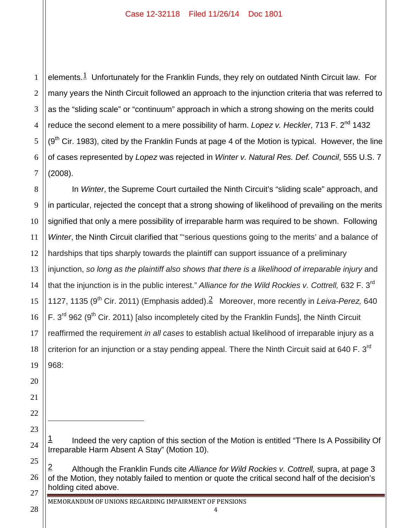1 2 3 4 5 6 7 elements.<sup>1</sup> Unfortunately for the Franklin Funds, they rely on outdated Ninth Circuit law. For many years the Ninth Circuit followed an approach to the injunction criteria that was referred to as the "sliding scale" or "continuum" approach in which a strong showing on the merits could reduce the second element to a mere possibility of harm. *Lopez v. Heckler*, 713 F. 2<sup>nd</sup> 1432  $(9<sup>th</sup>$  Cir. 1983), cited by the Franklin Funds at page 4 of the Motion is typical. However, the line of cases represented by *Lopez* was rejected in *Winter v. Natural Res. Def. Council*, 555 U.S. 7 (2008).

8 9 10 12 13 14 15 16 18 19 In *Winter*, the Supreme Court curtailed the Ninth Circuit's "sliding scale" approach, and in particular, rejected the concept that a strong showing of likelihood of prevailing on the merits signified that only a mere possibility of irreparable harm was required to be shown. Following *Winter*, the Ninth Circuit clarified that "'serious questions going to the merits' and a balance of hardships that tips sharply towards the plaintiff can support issuance of a preliminary injunction, *so long as the plaintiff also shows that there is a likelihood of irreparable injury* and that the injunction is in the public interest." *Alliance for the Wild Rockies v. Cottrell,* 632 F. 3rd 1127, 1135 (9<sup>th</sup> Cir. 2011) (Emphasis added).<sup>2</sup> Moreover, more recently in *Leiva-Perez*, 640 F.  $3<sup>rd</sup>$  962 (9<sup>th</sup> Cir. 2011) [also incompletely cited by the Franklin Funds], the Ninth Circuit reaffirmed the requirement *in all cases* to establish actual likelihood of irreparable injury as a criterion for an injunction or a stay pending appeal. There the Ninth Circuit said at 640 F.  $3<sup>rd</sup>$ 968:

Indeed the very caption of this section of the Motion is entitled "There Is A Possibility Of Irreparable Harm Absent A Stay" (Motion 10).

25 26 27 2 Although the Franklin Funds cite *Alliance for Wild Rockies v. Cottrell,* supra, at page 3 of the Motion, they notably failed to mention or quote the critical second half of the decision's holding cited above.

11

17

20

21

22

23

 $\overline{a}$ 

24

28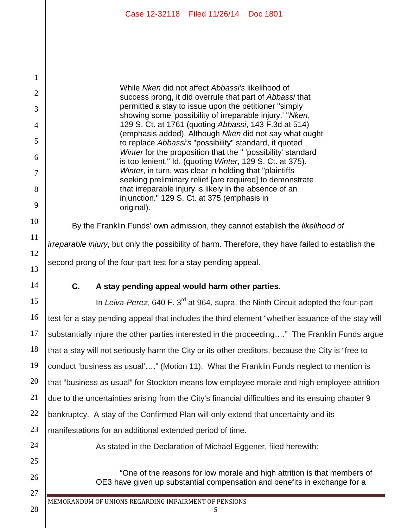While *Nken* did not affect *Abbassi's* likelihood of success prong, it did overrule that part of *Abbassi* that permitted a stay to issue upon the petitioner "simply showing some 'possibility of irreparable injury.' "*Nken*, 129 S. Ct. at 1761 (quoting *Abbassi*, 143 F.3d at 514) (emphasis added). Although *Nken* did not say what ought to replace *Abbassi's* "possibility" standard, it quoted *Winter* for the proposition that the " 'possibility' standard is too lenient." Id. (quoting *Winter*, 129 S. Ct. at 375). *Winter*, in turn, was clear in holding that "plaintiffs seeking preliminary relief [are required] to demonstrate that irreparable injury is likely in the absence of an injunction." 129 S. Ct. at 375 (emphasis in original).

By the Franklin Funds' own admission, they cannot establish the *likelihood of irreparable injury*, but only the possibility of harm. Therefore, they have failed to establish the second prong of the four-part test for a stay pending appeal.

1

2

3

4

5

6

7

8

9

10

11

12

13

14

15

16

17

18

19

20

21

22

23

24

25

26

27

28

## **C. A stay pending appeal would harm other parties.**

In *Leiva-Perez*, 640 F. 3<sup>rd</sup> at 964, supra, the Ninth Circuit adopted the four-part test for a stay pending appeal that includes the third element "whether issuance of the stay will substantially injure the other parties interested in the proceeding…." The Franklin Funds argue that a stay will not seriously harm the City or its other creditors, because the City is "free to conduct 'business as usual'…." (Motion 11). What the Franklin Funds neglect to mention is that "business as usual" for Stockton means low employee morale and high employee attrition due to the uncertainties arising from the City's financial difficulties and its ensuing chapter 9 bankruptcy. A stay of the Confirmed Plan will only extend that uncertainty and its manifestations for an additional extended period of time.

As stated in the Declaration of Michael Eggener, filed herewith:

"One of the reasons for low morale and high attrition is that members of OE3 have given up substantial compensation and benefits in exchange for a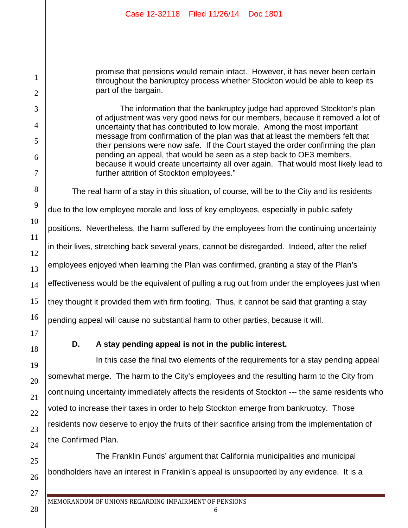| Case 12-32118 Filed 11/26/14 Doc 1801                                                                                                                                                                                                                                                                                                                                                                                                                                                                                                                                                                              |
|--------------------------------------------------------------------------------------------------------------------------------------------------------------------------------------------------------------------------------------------------------------------------------------------------------------------------------------------------------------------------------------------------------------------------------------------------------------------------------------------------------------------------------------------------------------------------------------------------------------------|
|                                                                                                                                                                                                                                                                                                                                                                                                                                                                                                                                                                                                                    |
|                                                                                                                                                                                                                                                                                                                                                                                                                                                                                                                                                                                                                    |
| promise that pensions would remain intact. However, it has never been certain<br>throughout the bankruptcy process whether Stockton would be able to keep its<br>part of the bargain.                                                                                                                                                                                                                                                                                                                                                                                                                              |
| The information that the bankruptcy judge had approved Stockton's plan<br>of adjustment was very good news for our members, because it removed a lot of<br>uncertainty that has contributed to low morale. Among the most important<br>message from confirmation of the plan was that at least the members felt that<br>their pensions were now safe. If the Court stayed the order confirming the plan<br>pending an appeal, that would be seen as a step back to OE3 members,<br>because it would create uncertainty all over again. That would most likely lead to<br>further attrition of Stockton employees." |
| The real harm of a stay in this situation, of course, will be to the City and its residents                                                                                                                                                                                                                                                                                                                                                                                                                                                                                                                        |
| due to the low employee morale and loss of key employees, especially in public safety                                                                                                                                                                                                                                                                                                                                                                                                                                                                                                                              |
| positions. Nevertheless, the harm suffered by the employees from the continuing uncertainty                                                                                                                                                                                                                                                                                                                                                                                                                                                                                                                        |
| in their lives, stretching back several years, cannot be disregarded. Indeed, after the relief                                                                                                                                                                                                                                                                                                                                                                                                                                                                                                                     |
| employees enjoyed when learning the Plan was confirmed, granting a stay of the Plan's                                                                                                                                                                                                                                                                                                                                                                                                                                                                                                                              |
| effectiveness would be the equivalent of pulling a rug out from under the employees just when                                                                                                                                                                                                                                                                                                                                                                                                                                                                                                                      |
| they thought it provided them with firm footing. Thus, it cannot be said that granting a stay                                                                                                                                                                                                                                                                                                                                                                                                                                                                                                                      |
| pending appeal will cause no substantial harm to other parties, because it will.                                                                                                                                                                                                                                                                                                                                                                                                                                                                                                                                   |
| D.<br>A stay pending appeal is not in the public interest.                                                                                                                                                                                                                                                                                                                                                                                                                                                                                                                                                         |
| In this case the final two elements of the requirements for a stay pending appeal                                                                                                                                                                                                                                                                                                                                                                                                                                                                                                                                  |
| somewhat merge. The harm to the City's employees and the resulting harm to the City from                                                                                                                                                                                                                                                                                                                                                                                                                                                                                                                           |
| continuing uncertainty immediately affects the residents of Stockton --- the same residents who                                                                                                                                                                                                                                                                                                                                                                                                                                                                                                                    |
| voted to increase their taxes in order to help Stockton emerge from bankruptcy. Those                                                                                                                                                                                                                                                                                                                                                                                                                                                                                                                              |
| residents now deserve to enjoy the fruits of their sacrifice arising from the implementation of                                                                                                                                                                                                                                                                                                                                                                                                                                                                                                                    |
| the Confirmed Plan.                                                                                                                                                                                                                                                                                                                                                                                                                                                                                                                                                                                                |

The Franklin Funds' argument that California municipalities and municipal bondholders have an interest in Franklin's appeal is unsupported by any evidence. It is a

1

2

3

4

5

6

7

8

9

10

11

12

13

14

15

16

17

18

19

20

21

22

23

24

25

26

27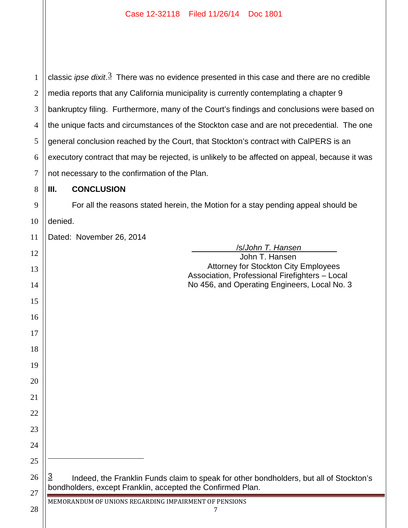| $\mathbf{1}$   | classic ipse $dist.\overline{3}$ There was no evidence presented in this case and there are no credible                                              |  |  |
|----------------|------------------------------------------------------------------------------------------------------------------------------------------------------|--|--|
| $\overline{2}$ | media reports that any California municipality is currently contemplating a chapter 9                                                                |  |  |
| 3              | bankruptcy filing. Furthermore, many of the Court's findings and conclusions were based on                                                           |  |  |
| 4              | the unique facts and circumstances of the Stockton case and are not precedential. The one                                                            |  |  |
| 5              | general conclusion reached by the Court, that Stockton's contract with CalPERS is an                                                                 |  |  |
| 6              | executory contract that may be rejected, is unlikely to be affected on appeal, because it was                                                        |  |  |
| 7              | not necessary to the confirmation of the Plan.                                                                                                       |  |  |
| 8              | <b>CONCLUSION</b><br>Ш.                                                                                                                              |  |  |
| 9              | For all the reasons stated herein, the Motion for a stay pending appeal should be                                                                    |  |  |
| 10             | denied.                                                                                                                                              |  |  |
| 11             | Dated: November 26, 2014                                                                                                                             |  |  |
| 12             | <u>/s/John T. Hansen</u>                                                                                                                             |  |  |
|                | John T. Hansen<br><b>Attorney for Stockton City Employees</b>                                                                                        |  |  |
| 13             | Association, Professional Firefighters - Local                                                                                                       |  |  |
| 14             | No 456, and Operating Engineers, Local No. 3                                                                                                         |  |  |
| 15             |                                                                                                                                                      |  |  |
| 16             |                                                                                                                                                      |  |  |
| 17             |                                                                                                                                                      |  |  |
| 18             |                                                                                                                                                      |  |  |
| 19             |                                                                                                                                                      |  |  |
| 20             |                                                                                                                                                      |  |  |
| 21             |                                                                                                                                                      |  |  |
| 22             |                                                                                                                                                      |  |  |
| 23             |                                                                                                                                                      |  |  |
| 24             |                                                                                                                                                      |  |  |
| 25             |                                                                                                                                                      |  |  |
| 26             | <u>3</u>                                                                                                                                             |  |  |
| 27             | Indeed, the Franklin Funds claim to speak for other bondholders, but all of Stockton's<br>bondholders, except Franklin, accepted the Confirmed Plan. |  |  |
|                | MEMORANDUM OF UNIONS REGARDING IMPAIRMENT OF PENSIONS                                                                                                |  |  |
| 28             | 7                                                                                                                                                    |  |  |
|                |                                                                                                                                                      |  |  |